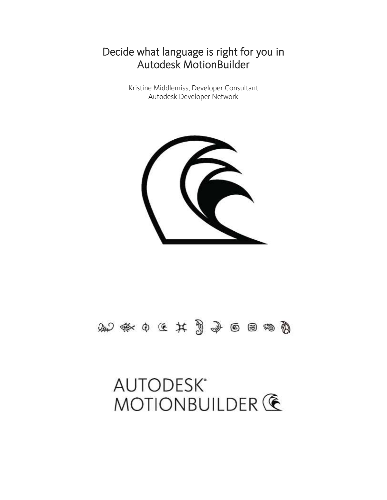# **AUTODESK\*** MOTIONBUILDER **G**

## めやまからはおうしゅう



Kristine Middlemiss, Developer Consultant Autodesk Developer Network

## Decide what language is right for you in Autodesk MotionBuilder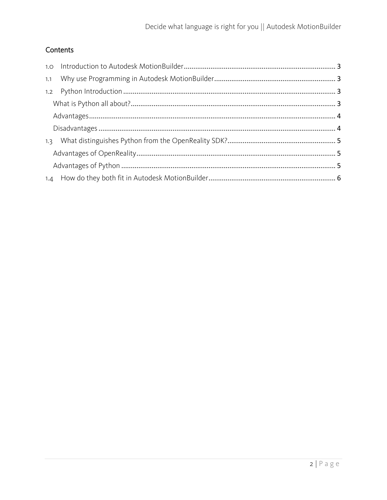#### Contents

| 1.1 |  |  |
|-----|--|--|
|     |  |  |
|     |  |  |
|     |  |  |
|     |  |  |
| 1.3 |  |  |
|     |  |  |
|     |  |  |
|     |  |  |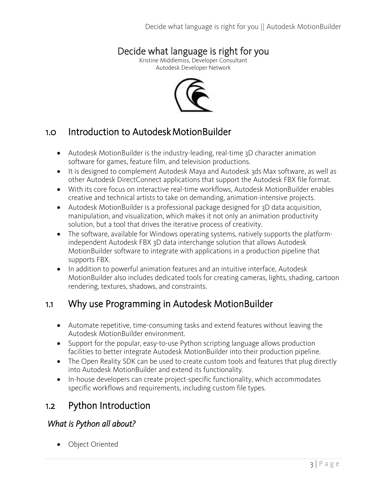### Decide what language is right for you

Kristine Middlemiss, Developer Consultant Autodesk Developer Network



## <span id="page-2-0"></span>1.0 Introduction to Autodesk MotionBuilder

- Autodesk MotionBuilder is the industry-leading, real-time 3D character animation software for games, feature film, and television productions.
- It is designed to complement Autodesk Maya and Autodesk 3ds Max software, as well as other Autodesk DirectConnect applications that support the Autodesk FBX file format.
- With its core focus on interactive real-time workflows, Autodesk MotionBuilder enables creative and technical artists to take on demanding, animation-intensive projects.
- Autodesk MotionBuilder is a professional package designed for 3D data acquisition, manipulation, and visualization, which makes it not only an animation productivity solution, but a tool that drives the iterative process of creativity.
- The software, available for Windows operating systems, natively supports the platformindependent Autodesk FBX 3D data interchange solution that allows Autodesk MotionBuilder software to integrate with applications in a production pipeline that supports FBX.
- In addition to powerful animation features and an intuitive interface, Autodesk MotionBuilder also includes dedicated tools for creating cameras, lights, shading, cartoon rendering, textures, shadows, and constraints.

## <span id="page-2-1"></span>1.1 Why use Programming in Autodesk MotionBuilder

- Automate repetitive, time-consuming tasks and extend features without leaving the Autodesk MotionBuilder environment.
- Support for the popular, easy-to-use Python scripting language allows production facilities to better integrate Autodesk MotionBuilder into their production pipeline.
- The Open Reality SDK can be used to create custom tools and features that plug directly into Autodesk MotionBuilder and extend its functionality.
- In-house developers can create project-specific functionality, which accommodates specific workflows and requirements, including custom file types.

## <span id="page-2-2"></span>1.2 Python Introduction

#### <span id="page-2-3"></span> *What is Python all about?*

Object Oriented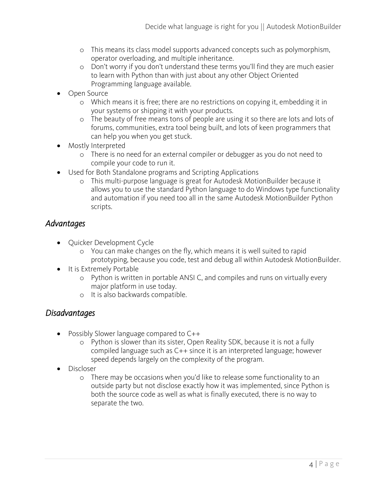- o This means its class model supports advanced concepts such as polymorphism, operator overloading, and multiple inheritance.
- o Don't worry if you don't understand these terms you'll find they are much easier to learn with Python than with just about any other Object Oriented Programming language available.
- Open Source
	- o Which means it is free; there are no restrictions on copying it, embedding it in your systems or shipping it with your products.
	- o The beauty of free means tons of people are using it so there are lots and lots of forums, communities, extra tool being built, and lots of keen programmers that can help you when you get stuck.
- Mostly Interpreted
	- o There is no need for an external compiler or debugger as you do not need to compile your code to run it.
- Used for Both Standalone programs and Scripting Applications
	- o This multi-purpose language is great for Autodesk MotionBuilder because it allows you to use the standard Python language to do Windows type functionality and automation if you need too all in the same Autodesk MotionBuilder Python scripts.

#### <span id="page-3-0"></span>*Advantages*

- Quicker Development Cycle
	- o You can make changes on the fly, which means it is well suited to rapid prototyping, because you code, test and debug all within Autodesk MotionBuilder.
- It is Extremely Portable
	- o Python is written in portable ANSI C, and compiles and runs on virtually every major platform in use today.
	- o It is also backwards compatible.

#### <span id="page-3-1"></span>*Disadvantages*

- Possibly Slower language compared to C++
	- o Python is slower than its sister, Open Reality SDK, because it is not a fully compiled language such as C++ since it is an interpreted language; however speed depends largely on the complexity of the program.
- Discloser
	- o There may be occasions when you'd like to release some functionality to an outside party but not disclose exactly how it was implemented, since Python is both the source code as well as what is finally executed, there is no way to separate the two.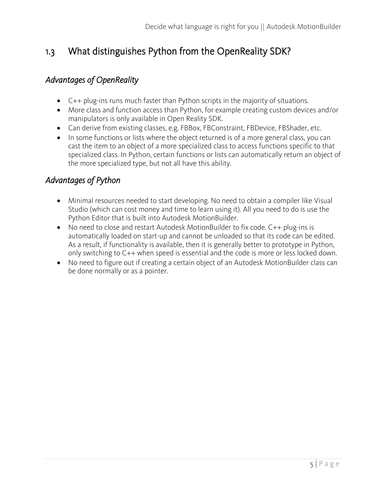## <span id="page-4-0"></span>1.3 What distinguishes Python from the OpenReality SDK?

#### <span id="page-4-1"></span>*Advantages of OpenReality*

- C++ plug-ins runs much faster than Python scripts in the majority of situations.
- More class and function access than Python, for example creating custom devices and/or manipulators is only available in Open Reality SDK.
- Can derive from existing classes, e.g. FBBox, FBConstraint, FBDevice, FBShader, etc.
- In some functions or lists where the object returned is of a more general class, you can cast the item to an object of a more specialized class to access functions specific to that specialized class. In Python, certain functions or lists can automatically return an object of the more specialized type, but not all have this ability.

#### <span id="page-4-2"></span>*Advantages of Python*

- Minimal resources needed to start developing. No need to obtain a compiler like Visual Studio (which can cost money and time to learn using it). All you need to do is use the Python Editor that is built into Autodesk MotionBuilder.
- No need to close and restart Autodesk MotionBuilder to fix code. C++ plug-ins is automatically loaded on start-up and cannot be unloaded so that its code can be edited. As a result, if functionality is available, then it is generally better to prototype in Python, only switching to C++ when speed is essential and the code is more or less locked down.
- No need to figure out if creating a certain object of an Autodesk MotionBuilder class can be done normally or as a pointer.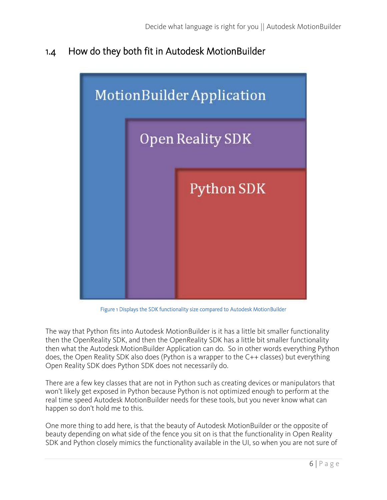## <span id="page-5-0"></span>1.4 How do they both fit in Autodesk MotionBuilder



Figure 1 Displays the SDK functionality size compared to Autodesk MotionBuilder

The way that Python fits into Autodesk MotionBuilder is it has a little bit smaller functionality then the OpenReality SDK, and then the OpenReality SDK has a little bit smaller functionality then what the Autodesk MotionBuilder Application can do. So in other words everything Python does, the Open Reality SDK also does (Python is a wrapper to the C++ classes) but everything Open Reality SDK does Python SDK does not necessarily do.

There are a few key classes that are not in Python such as creating devices or manipulators that won't likely get exposed in Python because Python is not optimized enough to perform at the real time speed Autodesk MotionBuilder needs for these tools, but you never know what can happen so don't hold me to this.

One more thing to add here, is that the beauty of Autodesk MotionBuilder or the opposite of beauty depending on what side of the fence you sit on is that the functionality in Open Reality SDK and Python closely mimics the functionality available in the UI, so when you are not sure of